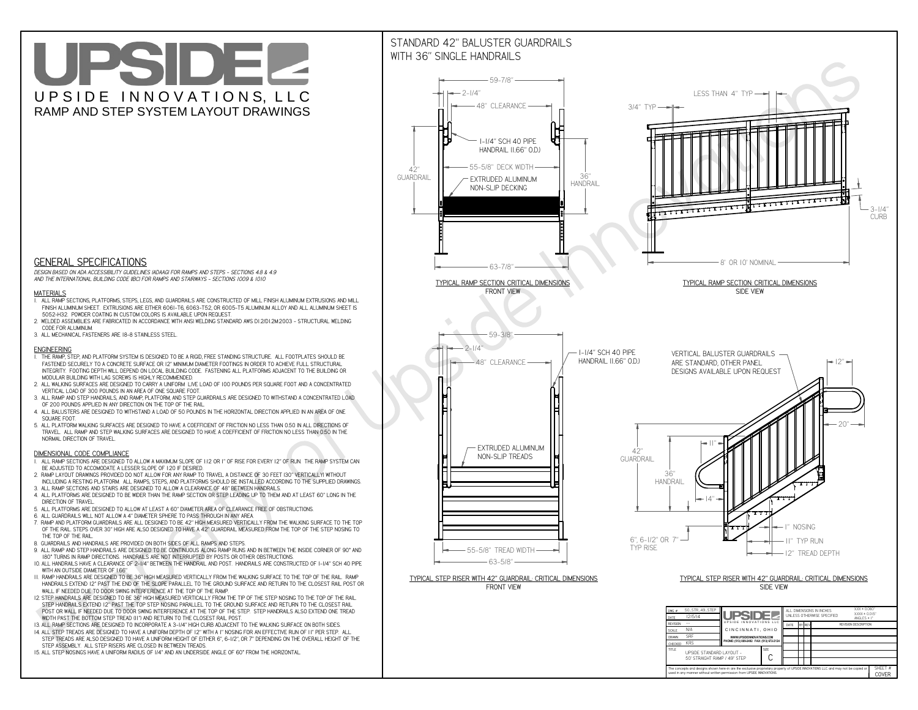**used in any manner without written permission from UPSIDE INNOVATIONS.**

# UPSIDEL UPSIDE INNOVATIONS, LLC RAMP AND STEP SYSTEM LAYOUT DRAWINGS

SHEET #**COVER**

## STANDARD 42" BALUSTER GUARDRAILSWITH 36" SINGLE HANDRAILS



The concepts and designs shown here-in are the exclusive proprietary property of UPSIDE INNOVATIONS LLC. and may not be copied o

**H** 



 *DESIGN BASED ON ADA ACCESSIBILITY GUIDELINES (ADAAG) FOR RAMPS AND STEPS - SECTIONS 4.8 & 4.9AND THE INTERNATIONAL BUILDING CODE (IBC) FOR RAMPS AND STAIRWAYS - SECTIONS 1009 & 1010*

#### **MATERIALS**

- **1. ALL RAMP SECTIONS, PLATFORMS, STEPS, LEGS, AND GUARDRAILS ARE CONSTRUCTED OF MILL FINISH ALUMINUM EXTRUSIONS AND MILL FINISH ALUMINUM SHEET. EXTRUSIONS ARE EITHER 6061-T6, 6063-T52, OR 6005-T5 ALUMINUM ALLOY AND ALL ALUMINUM SHEET IS 5052-H32. POWDER COATING IN CUSTOM COLORS IS AVAILABLE UPON REQUEST.**
- **2. WELDED ASSEMBLIES ARE FABRICATED IN ACCORDANCE WITH ANSI WELDING STANDARD AWS D1.2/D1.2M:2003 STRUCTURAL WELDING CODE FOR ALUMINUM.**
- **3. ALL MECHANICAL FASTENERS ARE 18-8 STAINLESS STEEL.**

#### **ENGINEERING**

- **1. THE RAMP, STEP, AND PLATFORM SYSTEM IS DESIGNED TO BE A RIGID, FREE STANDING STRUCTURE. ALL FOOTPLATES SHOULD BE FASTENED SECURELY TO A CONCRETE SURFACE OR 12" MINIMUM DIAMETER FOOTINGS IN ORDER TO ACHIEVE FULL STRUCTURAL INTEGRITY. FOOTING DEPTH WILL DEPEND ON LOCAL BUILDING CODE. FASTENING ALL PLATFORMS ADJACENT TO THE BUILDING OR MODULAR BUILDING WITH LAG SCREWS IS HIGHLY RECOMMENDED.**
- **2. ALL WALKING SURFACES ARE DESIGNED TO CARRY A UNIFORM LIVE LOAD OF 100 POUNDS PER SQUARE FOOT AND A CONCENTRATED VERTICAL LOAD OF 300 POUNDS IN AN AREA OF ONE SQUARE FOOT.**
- **3. ALL RAMP AND STEP HANDRAILS, AND RAMP, PLATFORM, AND STEP GUARDRAILS ARE DESIGNED TO WITHSTAND A CONCENTRATED LOAD OF 200 POUNDS APPLIED IN ANY DIRECTION ON THE TOP OF THE RAIL.**
- **4. ALL BALUSTERS ARE DESIGNED TO WITHSTAND A LOAD OF 50 POUNDS IN THE HORIZONTAL DIRECTION APPLIED IN AN AREA OF ONE SQUARE FOOT.**
- **5. ALL PLATFORM WALKING SURFACES ARE DESIGNED TO HAVE A COEFFICIENT OF FRICTION NO LESS THAN 0.50 IN ALL DIRECTIONS OF TRAVEL. ALL RAMP AND STEP WALKING SURFACES ARE DESIGNED TO HAVE A COEFFICIENT OF FRICTION NO LESS THAN 0.50 IN THE NORMAL DIRECTION OF TRAVEL.**

### **DIMENSIONAL CODE COMPLIANCE**

- **1. ALL RAMP SECTIONS ARE DESIGNED TO ALLOW A MAXIMUM SLOPE OF 1:12 OR 1" OF RISE FOR EVERY 12" OF RUN. THE RAMP SYSTEM CAN BE ADJUSTED TO ACCOMODATE A LESSER SLOPE OF 1:20 IF DESIRED.**
- **2. RAMP LAYOUT DRAWINGS PROVIDED DO NOT ALLOW FOR ANY RAMP TO TRAVEL A DISTANCE OF 30 FEET (30" VERTICALLY) WITHOUT INCLUDING A RESTING PLATFORM. ALL RAMPS, STEPS, AND PLATFORMS SHOULD BE INSTALLED ACCORDING TO THE SUPPLIED DRAWINGS.**
- **3. ALL RAMP SECTIONS AND STAIRS ARE DESIGNED TO ALLOW A CLEARANCE OF 48" BETWEEN HANDRAILS.**
- **4. ALL PLATFORMS ARE DESIGNED TO BE WIDER THAN THE RAMP SECTION OR STEP LEADING UP TO THEM AND AT LEAST 60" LONG IN THE DIRECTION OF TRAVEL.**
- **5. ALL PLATFORMS ARE DESIGNED TO ALLOW AT LEAST A 60" DIAMETER AREA OF CLEARANCE FREE OF OBSTRUCTIONS.**
- **6. ALL GUARDRAILS WILL NOT ALLOW A 4" DIAMETER SPHERE TO PASS THROUGH IN ANY AREA.**
- **7. RAMP AND PLATFORM GUARDRAILS ARE ALL DESIGNED TO BE 42" HIGH MEASURED VERTICALLY FROM THE WALKING SURFACE TO THE TOP OF THE RAIL. STEPS OVER 30" HIGH ARE ALSO DESIGNED TO HAVE A 42" GUARDRAIL MEASURED FROM THE TOP OF THE STEP NOSING TO THE TOP OF THE RAIL.**
- **8. GUARDRAILS AND HANDRAILS ARE PROVIDED ON BOTH SIDES OF ALL RAMPS AND STEPS.**
- **9. ALL RAMP AND STEP HANDRAILS ARE DESIGNED TO BE CONTINUOUS ALONG RAMP RUNS AND IN BETWEEN THE INSIDE CORNER OF 90° AND 180° TURNS IN RAMP DIRECTIONS. HANDRAILS ARE NOT INTERRUPTED BY POSTS OR OTHER OBSTRUCTIONS.**
- **10. ALL HANDRAILS HAVE A CLEARANCE OF 2-1/4" BETWEEN THE HANDRAIL AND POST. HANDRAILS ARE CONSTRUCTED OF 1-1/4" SCH 40 PIPE WITH AN OUTSIDE DIAMETER OF 1.66"**
- **11. RAMP HANDRAILS ARE DESIGNED TO BE 36" HIGH MEASURED VERTICALLY FROM THE WALKING SURFACE TO THE TOP OF THE RAIL. RAMP HANDRAILS EXTEND 12" PAST THE END OF THE SLOPE PARALLEL TO THE GROUND SURFACE AND RETURN TO THE CLOSEST RAIL POST OR WALL IF NEEDED DUE TO DOOR SWING INTERFERENCE AT THE TOP OF THE RAMP.**
- **12. STEP HANDRAILS ARE DESIGNED TO BE 36" HIGH MEASURED VERTICALLY FROM THE TIP OF THE STEP NOSING TO THE TOP OF THE RAIL. STEP HANDRAILS EXTEND 12" PAST THE TOP STEP NOSING PARALLEL TO THE GROUND SURFACE AND RETURN TO THE CLOSEST RAIL POST OR WALL IF NEEDED DUE TO DOOR SWING INTERFERENCE AT THE TOP OF THE STEP. STEP HANDRAILS ALSO EXTEND ONE TREAD WIDTH PAST THE BOTTOM STEP TREAD (11") AND RETURN TO THE CLOSEST RAIL POST.**
- **13. ALL RAMP SECTIONS ARE DESIGNED TO INCORPORATE A 3-1/4" HIGH CURB ADJACENT TO THE WALKING SURFACE ON BOTH SIDES.**
- **14. ALL STEP TREADS ARE DESIGNED TO HAVE A UNIFORM DEPTH OF 12" WITH A 1" NOSING FOR AN EFFECTIVE RUN OF 11" PER STEP. ALL**
- **STEP TREADS ARE ALSO DESIGNED TO HAVE A UNIFORM HEIGHT OF EITHER 6", 6-1/2", OR 7" DEPENDING ON THE OVERALL HEIGHT OF THE STEP ASSEMBLY. ALL STEP RISERS ARE CLOSED IN BETWEEN TREADS.**
- **15. ALL STEP NOSINGS HAVE A UNIFORM RADIUS OF 1/4" AND AN UNDERSIDE ANGLE OF 60° FROM THE HORIZONTAL.**